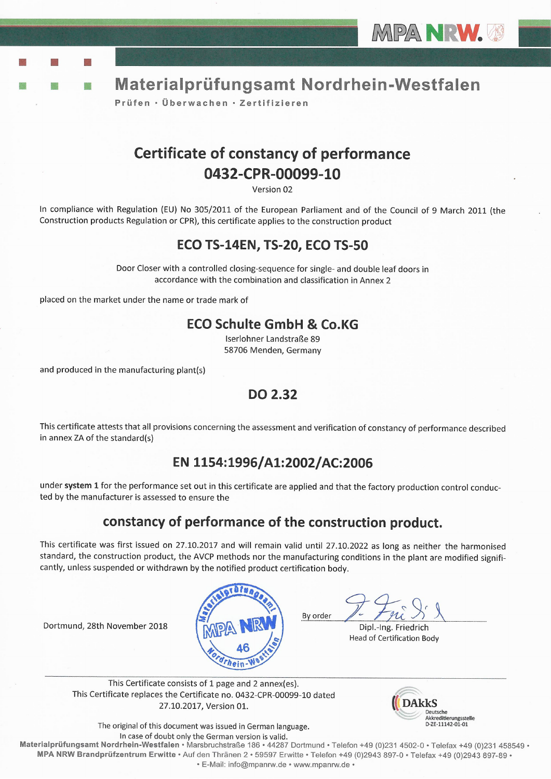



Prüfen · Überwachen · Zertifizieren

# **Certificate of constancy of performance** 0432-CPR-00099-10

Version 02

In compliance with Regulation (EU) No 305/2011 of the European Parliament and of the Council of 9 March 2011 (the Construction products Regulation or CPR), this certificate applies to the construction product

## **ECO TS-14EN, TS-20, ECO TS-50**

Door Closer with a controlled closing-sequence for single- and double leaf doors in accordance with the combination and classification in Annex 2

placed on the market under the name or trade mark of

## **ECO Schulte GmbH & Co.KG**

Iserlohner Landstraße 89 58706 Menden, Germany

and produced in the manufacturing plant(s)

Dortmund, 28th November 2018

### **DO 2.32**

This certificate attests that all provisions concerning the assessment and verification of constancy of performance described in annex ZA of the standard(s)

## EN 1154:1996/A1:2002/AC:2006

under system 1 for the performance set out in this certificate are applied and that the factory production control conducted by the manufacturer is assessed to ensure the

## constancy of performance of the construction product.

This certificate was first issued on 27.10.2017 and will remain valid until 27.10.2022 as long as neither the harmonised standard, the construction product, the AVCP methods nor the manufacturing conditions in the plant are modified significantly, unless suspended or withdrawn by the notified product certification body.



Dipl.-Ing. Friedrich Head of Certification Body

This Certificate consists of 1 page and 2 annex(es). This Certificate replaces the Certificate no. 0432-CPR-00099-10 dated 27.10.2017, Version 01.



The original of this document was issued in German language. In case of doubt only the German version is valid.

Materialprüfungsamt Nordrhein-Westfalen · Marsbruchstraße 186 · 44287 Dortmund · Telefon +49 (0)231 4502-0 · Telefax +49 (0)231 458549 · MPA NRW Brandprüfzentrum Erwitte · Auf den Thränen 2 · 59597 Erwitte · Telefon +49 (0)2943 897-0 · Telefax +49 (0)2943 897-89 · · E-Mail: info@mpanrw.de · www.mpanrw.de ·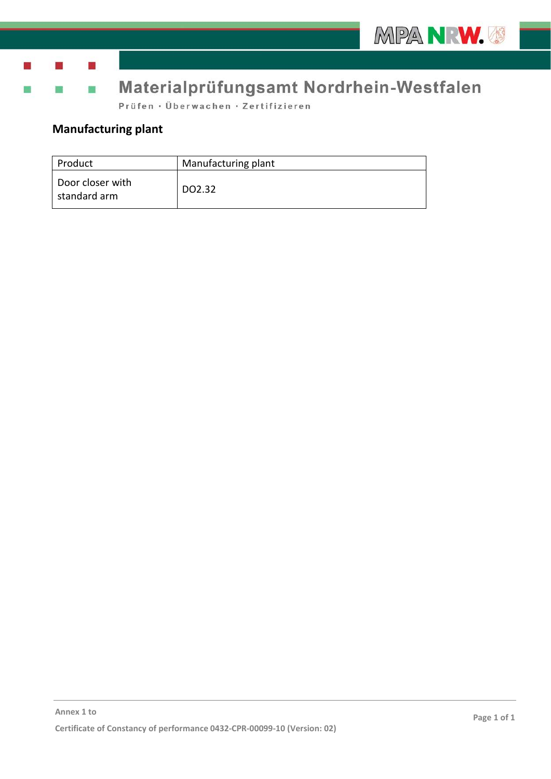

m a

## Materialprüfungsamt Nordrhein-Westfalen

Prüfen · Überwachen · Zertifizieren

## **Manufacturing plant**

m

| Product                          | Manufacturing plant |
|----------------------------------|---------------------|
| Door closer with<br>standard arm | DO2.32              |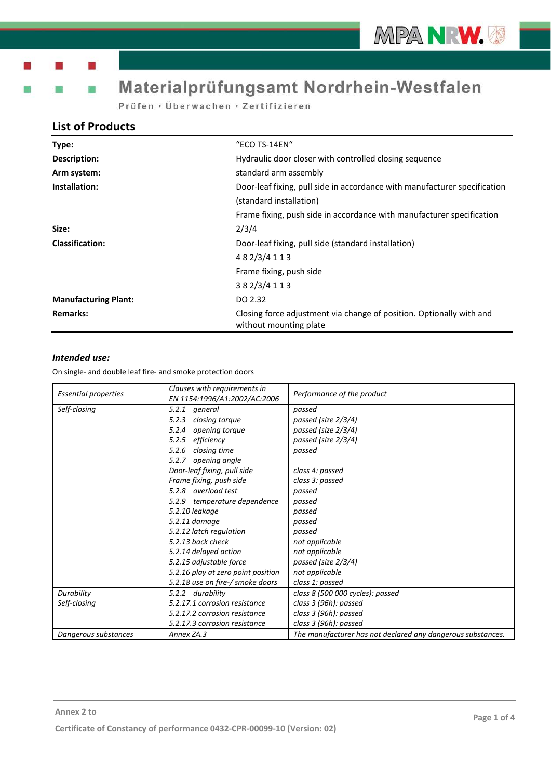# Materialprüfungsamt Nordrhein-Westfalen

Prüfen · Überwachen · Zertifizieren

### **List of Products**

| Type:                       | "ECO TS-14EN"                                                                                        |  |
|-----------------------------|------------------------------------------------------------------------------------------------------|--|
| Description:                | Hydraulic door closer with controlled closing sequence                                               |  |
| Arm system:                 | standard arm assembly                                                                                |  |
| Installation:               | Door-leaf fixing, pull side in accordance with manufacturer specification<br>(standard installation) |  |
|                             | Frame fixing, push side in accordance with manufacturer specification                                |  |
| Size:                       | 2/3/4                                                                                                |  |
| <b>Classification:</b>      | Door-leaf fixing, pull side (standard installation)                                                  |  |
|                             | 482/3/4113                                                                                           |  |
|                             | Frame fixing, push side                                                                              |  |
|                             | 382/3/4113                                                                                           |  |
| <b>Manufacturing Plant:</b> | DO 2.32                                                                                              |  |
| <b>Remarks:</b>             | Closing force adjustment via change of position. Optionally with and<br>without mounting plate       |  |

### *Intended use:*

| <b>Essential properties</b>                | Clauses with requirements in<br>EN 1154:1996/A1:2002/AC:2006 | Performance of the product                                  |
|--------------------------------------------|--------------------------------------------------------------|-------------------------------------------------------------|
| Self-closing                               | 5.2.1 general                                                | passed                                                      |
|                                            | 5.2.3<br>closing torque                                      | passed (size 2/3/4)                                         |
|                                            | 5.2.4<br>opening torque                                      | passed (size 2/3/4)                                         |
|                                            | 5.2.5<br>efficiency                                          | passed (size 2/3/4)                                         |
|                                            | closing time<br>5.2.6                                        | passed                                                      |
|                                            | opening angle<br>5.2.7                                       |                                                             |
|                                            | Door-leaf fixing, pull side                                  | class 4: passed                                             |
|                                            | Frame fixing, push side                                      | class 3: passed                                             |
|                                            | 5.2.8 overload test                                          | passed                                                      |
|                                            | 5.2.9 temperature dependence                                 | passed                                                      |
|                                            | 5.2.10 leakage                                               | passed                                                      |
|                                            | 5.2.11 damage                                                | passed                                                      |
|                                            | 5.2.12 latch regulation                                      | passed                                                      |
| 5.2.13 back check<br>5.2.14 delayed action |                                                              | not applicable                                              |
|                                            |                                                              | not applicable                                              |
|                                            | 5.2.15 adjustable force                                      | passed (size 2/3/4)                                         |
|                                            | 5.2.16 play at zero point position                           | not applicable                                              |
|                                            | 5.2.18 use on fire-/ smoke doors                             | class 1: passed                                             |
| Durability                                 | 5.2.2 durability                                             | class 8 (500 000 cycles): passed                            |
| Self-closing                               | 5.2.17.1 corrosion resistance                                | class 3 (96h): passed                                       |
|                                            | 5.2.17.2 corrosion resistance                                | class 3 (96h): passed                                       |
|                                            | 5.2.17.3 corrosion resistance                                | class 3 (96h): passed                                       |
| Dangerous substances                       | Annex ZA.3                                                   | The manufacturer has not declared any dangerous substances. |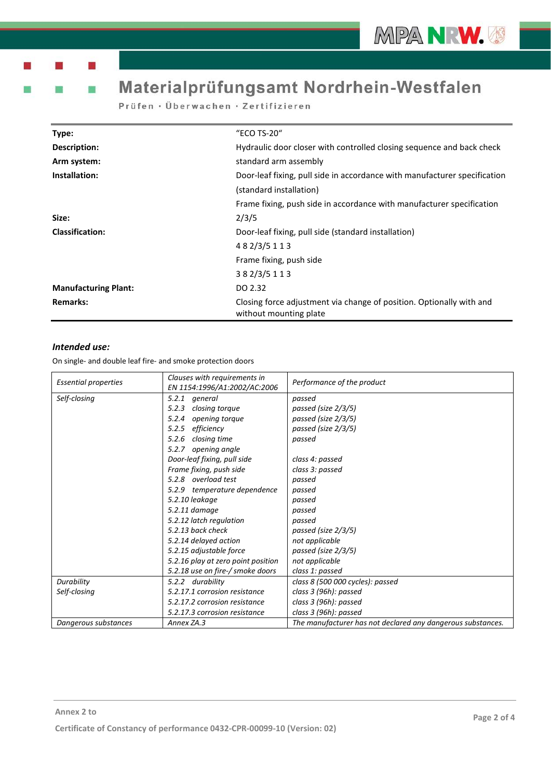m

# Materialprüfungsamt Nordrhein-Westfalen

Prüfen · Überwachen · Zertifizieren

| Type:                       | "ECO TS-20"                                                                                    |  |
|-----------------------------|------------------------------------------------------------------------------------------------|--|
| Description:                | Hydraulic door closer with controlled closing sequence and back check                          |  |
| Arm system:                 | standard arm assembly                                                                          |  |
| Installation:               | Door-leaf fixing, pull side in accordance with manufacturer specification                      |  |
|                             | (standard installation)                                                                        |  |
|                             | Frame fixing, push side in accordance with manufacturer specification                          |  |
| Size:                       | 2/3/5                                                                                          |  |
| <b>Classification:</b>      | Door-leaf fixing, pull side (standard installation)                                            |  |
|                             | 482/3/5113                                                                                     |  |
|                             | Frame fixing, push side                                                                        |  |
|                             | 382/3/5113                                                                                     |  |
| <b>Manufacturing Plant:</b> | DO 2.32                                                                                        |  |
| <b>Remarks:</b>             | Closing force adjustment via change of position. Optionally with and<br>without mounting plate |  |

### *Intended use:*

| <b>Essential properties</b> | Clauses with requirements in<br>EN 1154:1996/A1:2002/AC:2006 | Performance of the product                                  |
|-----------------------------|--------------------------------------------------------------|-------------------------------------------------------------|
| Self-closing                | 5.2.1 general                                                | passed                                                      |
|                             | closing torque<br>5.2.3                                      | passed (size 2/3/5)                                         |
|                             | 5.2.4<br>opening torque                                      | passed (size 2/3/5)                                         |
|                             | efficiency<br>5.2.5                                          | passed (size 2/3/5)                                         |
|                             | 5.2.6<br>closing time                                        | passed                                                      |
|                             | opening angle<br>5.2.7                                       |                                                             |
|                             | Door-leaf fixing, pull side                                  | class 4: passed                                             |
|                             | Frame fixing, push side                                      | class 3: passed                                             |
|                             | 5.2.8 overload test                                          | passed                                                      |
|                             | 5.2.9 temperature dependence                                 | passed                                                      |
|                             | 5.2.10 leakage                                               | passed                                                      |
|                             | 5.2.11 damage                                                | passed                                                      |
|                             | 5.2.12 latch regulation                                      | passed                                                      |
|                             | 5.2.13 back check                                            | passed (size 2/3/5)                                         |
|                             | 5.2.14 delayed action                                        | not applicable                                              |
|                             | 5.2.15 adjustable force                                      | passed (size 2/3/5)                                         |
|                             | 5.2.16 play at zero point position                           | not applicable                                              |
|                             | 5.2.18 use on fire-/ smoke doors                             | class 1: passed                                             |
| Durability                  | 5.2.2 durability                                             | class 8 (500 000 cycles): passed                            |
| Self-closing                | 5.2.17.1 corrosion resistance                                | class 3 (96h): passed                                       |
|                             | 5.2.17.2 corrosion resistance                                | class 3 (96h): passed                                       |
|                             | 5.2.17.3 corrosion resistance                                | class 3 (96h): passed                                       |
| Dangerous substances        | Annex ZA.3                                                   | The manufacturer has not declared any dangerous substances. |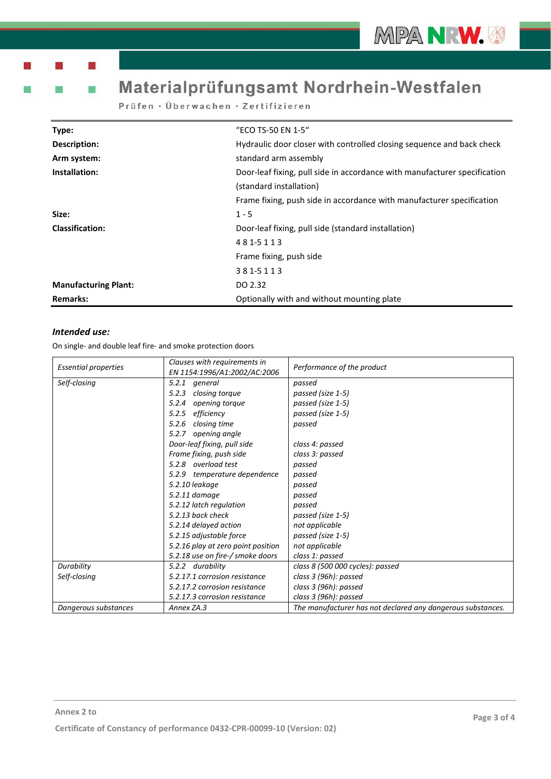m a

m

# Materialprüfungsamt Nordrhein-Westfalen

Prüfen · Überwachen · Zertifizieren

| Type:                       | "ECO TS-50 EN 1-5"                                                        |  |
|-----------------------------|---------------------------------------------------------------------------|--|
| Description:                | Hydraulic door closer with controlled closing sequence and back check     |  |
| Arm system:                 | standard arm assembly                                                     |  |
| Installation:               | Door-leaf fixing, pull side in accordance with manufacturer specification |  |
|                             | (standard installation)                                                   |  |
|                             | Frame fixing, push side in accordance with manufacturer specification     |  |
| Size:                       | $1 - 5$                                                                   |  |
| <b>Classification:</b>      | Door-leaf fixing, pull side (standard installation)                       |  |
|                             | 481-5113                                                                  |  |
|                             | Frame fixing, push side                                                   |  |
|                             | 381-5113                                                                  |  |
| <b>Manufacturing Plant:</b> | DO 2.32                                                                   |  |
| <b>Remarks:</b>             | Optionally with and without mounting plate                                |  |

### *Intended use:*

| <b>Essential properties</b> | Clauses with requirements in       | Performance of the product                                  |
|-----------------------------|------------------------------------|-------------------------------------------------------------|
|                             | EN 1154:1996/A1:2002/AC:2006       |                                                             |
| Self-closing                | general<br>5.2.1                   | passed                                                      |
|                             | closing torque<br>5.2.3            | passed (size 1-5)                                           |
|                             | 5.2.4<br>opening torque            | passed (size 1-5)                                           |
|                             | efficiency<br>5.2.5                | passed (size 1-5)                                           |
|                             | closing time<br>5.2.6              | passed                                                      |
|                             | 5.2.7 opening angle                |                                                             |
|                             | Door-leaf fixing, pull side        | class 4: passed                                             |
|                             | Frame fixing, push side            | class 3: passed                                             |
|                             | 5.2.8 overload test                | passed                                                      |
|                             | 5.2.9 temperature dependence       | passed                                                      |
|                             | 5.2.10 leakage                     | passed                                                      |
|                             | 5.2.11 damage                      | passed                                                      |
|                             | 5.2.12 latch regulation            | passed                                                      |
|                             | 5.2.13 back check                  | passed (size 1-5)                                           |
|                             | 5.2.14 delayed action              | not applicable                                              |
| 5.2.15 adjustable force     |                                    | passed (size 1-5)                                           |
|                             | 5.2.16 play at zero point position | not applicable                                              |
|                             | 5.2.18 use on fire-/ smoke doors   | class 1: passed                                             |
| Durability                  | 5.2.2 durability                   | class 8 (500 000 cycles): passed                            |
| Self-closing                | 5.2.17.1 corrosion resistance      | class 3 (96h): passed                                       |
|                             | 5.2.17.2 corrosion resistance      | class 3 (96h): passed                                       |
|                             | 5.2.17.3 corrosion resistance      | class 3 (96h): passed                                       |
| Dangerous substances        | Annex ZA.3                         | The manufacturer has not declared any dangerous substances. |